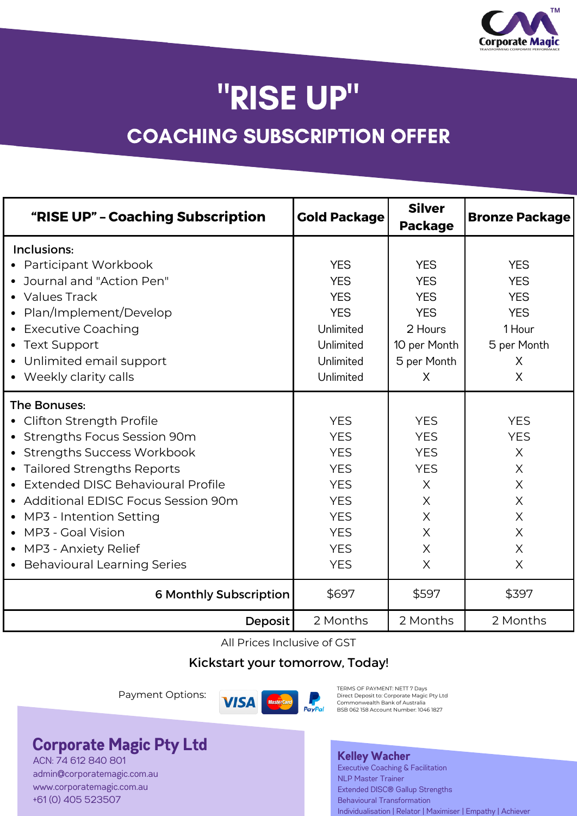

# "RISE UP" COACHING SUBSCRIPTION OFFER

| "RISE UP" - Coaching Subscription                                                                                                                                                                                                                                                                                               | <b>Gold Package</b>                                                                                                                      | <b>Silver</b><br><b>Package</b>                                                                                       | <b>Bronze Package</b>                                                                               |
|---------------------------------------------------------------------------------------------------------------------------------------------------------------------------------------------------------------------------------------------------------------------------------------------------------------------------------|------------------------------------------------------------------------------------------------------------------------------------------|-----------------------------------------------------------------------------------------------------------------------|-----------------------------------------------------------------------------------------------------|
| Inclusions:<br>• Participant Workbook<br>• Journal and "Action Pen"<br>• Values Track<br>• Plan/Implement/Develop<br>• Executive Coaching<br>• Text Support<br>Unlimited email support<br>• Weekly clarity calls                                                                                                                | <b>YES</b><br><b>YES</b><br><b>YES</b><br><b>YES</b><br>Unlimited<br>Unlimited<br>Unlimited<br>Unlimited                                 | <b>YES</b><br><b>YES</b><br><b>YES</b><br><b>YES</b><br>2 Hours<br>10 per Month<br>5 per Month<br>X                   | <b>YES</b><br><b>YES</b><br><b>YES</b><br><b>YES</b><br>1 Hour<br>5 per Month<br>X<br>X             |
| The Bonuses:<br>Clifton Strength Profile<br>• Strengths Focus Session 90m<br>• Strengths Success Workbook<br>• Tailored Strengths Reports<br>Extended DISC Behavioural Profile<br>• Additional EDISC Focus Session 90m<br>MP3 - Intention Setting<br>MP3 - Goal Vision<br>MP3 - Anxiety Relief<br>• Behavioural Learning Series | <b>YES</b><br><b>YES</b><br><b>YES</b><br><b>YES</b><br><b>YES</b><br><b>YES</b><br><b>YES</b><br><b>YES</b><br><b>YES</b><br><b>YES</b> | <b>YES</b><br><b>YES</b><br><b>YES</b><br><b>YES</b><br>$\times$<br>$\times$<br>$\times$<br>X<br>$\times$<br>$\times$ | <b>YES</b><br><b>YES</b><br>X<br>X<br>$\times$<br>$\times$<br>$\times$<br>X<br>$\times$<br>$\times$ |
| <b>6 Monthly Subscription</b>                                                                                                                                                                                                                                                                                                   | \$697                                                                                                                                    | \$597                                                                                                                 | \$397                                                                                               |
| Deposit                                                                                                                                                                                                                                                                                                                         | 2 Months                                                                                                                                 | 2 Months                                                                                                              | 2 Months                                                                                            |

All Prices Inclusive of GST

### Kickstart your tomorrow, Today!

Payment Options:



TERMS OF PAYMENT: NETT 7 Days<br>Direct Deposit to: Corporate Magic Pty Ltd<br>Commonwealth Bank of Australia BSB 062 158 Account Number: 1046 1827

### **Corporate Magic Pty Ltd**

ACN: 74 612 840 801 [admin@corporatemagic.com.au](mailto:Kelley@corporatemagic.com.au) [www.corporatemagic.com.au](http://www.corporatemagic.com.au/) +61 (0) 405 523507

#### **Kelley Wacher**

Executive Coaching & Facilitation NLP Master Trainer Extended DISC® Gallup Strengths Behavioural Transformation Individualisation | Relator | Maximiser | Empathy | Achiever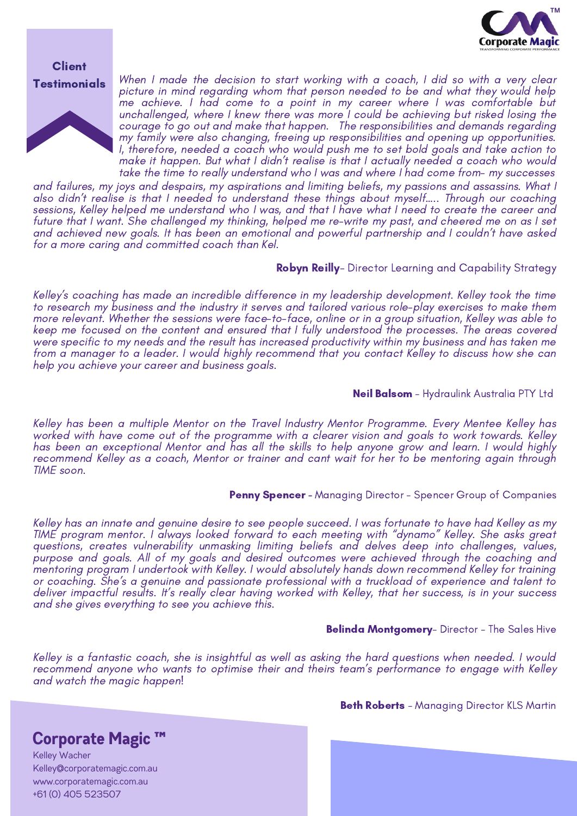

#### **Client Testimonials**



When I made the decision to start working with a coach, I did so with a very clear picture in mind regarding whom that person needed to be and what they would help me achieve. I had come to a point in my career where I was comfortable but unchallenged, where I knew there was more I could be achieving but risked losing the courage to go out and make that happen. The responsibilities and demands regarding my family were also changing, freeing up responsibilities and opening up opportunities. I, therefore, needed a coach who would push me to set bold goals and take action to make it happen. But what I didn't realise is that I actually needed a coach who would take the time to really understand who I was and where I had come from- my successes

and failures, my joys and despairs, my aspirations and limiting beliefs, my passions and assassins. What I also didn't realise is that I needed to understand these things about myself..... Through our coaching sessions, Kelley helped me understand who I was, and that I have what I need to create the career and future that I want. She challenged my thinking, helped me re-write my past, and cheered me on as I set and achieved new goals. It has been an emotional and powerful partnership and I couldn't have asked for a more caring and committed coach than Kel.

**Robyn Reilly**- Director Learning and Capability Strategy

Kelley's coaching has made an incredible difference in my leadership development. Kelley took the time to research my business and the industry it serves and tailored various role-play exercises to make them more relevant. Whether the sessions were face-to-face, online or in a group situation, Kelley was able to keep me focused on the content and ensured that I fully understood the processes. The areas covered were specific to my needs and the result has increased productivity within my business and has taken me from a manager to a leader. I would highly recommend that you contact Kelley to discuss how she can help you achieve your career and business goals.

**Neil Balsom** - Hydraulink Australia PTY Ltd

Kelley has been a multiple Mentor on the Travel Industry Mentor Programme. Every Mentee Kelley has worked with have come out of the programme with a clearer vision and goals to work towards. Kelley has been an exceptional Mentor and has all the skills to help anyone grow and learn. I would highly recommend Kelley as a coach, Mentor or trainer and cant wait for her to be mentoring again through TIME soon.

#### Penny Spencer - Managing Director - Spencer Group of Companies

Kelley has an innate and genuine desire to see people succeed. I was fortunate to have had Kelley as my TIME program mentor. I always looked forward to each meeting with "dynamo" Kelley. She asks great questions, creates vulnerability unmasking limiting beliefs and delves deep into challenges, values, purpose and goals. All of my goals and desired outcomes were achieved through the coaching and mentoring program I undertook with Kelley. I would absolutely hands down recommend Kelley for training or coaching. She's a genuine and passionate professional with a truckload of experience and talent to deliver impactful results. It's really clear having worked with Kelley, that her success, is in your success and she gives everything to see you achieve this.

#### **Belinda Montgomery-** Director - The Sales Hive

Kelley is a fantastic coach, she is insightful as well as asking the hard questions when needed. I would recommend anyone who wants to optimise their and theirs team's performance to engage with Kelley and watch the magic happen!

**Beth Roberts** - Managing Director KLS Martin

### **Corporate Magic ™**

Kelley Wacher [Kelley@corporatemagic.com.au](mailto:Kelley@corporatemagic.com.au) [www.corporatemagic.com.au](http://www.corporatemagic.com.au/) +61 (0) 405 523507